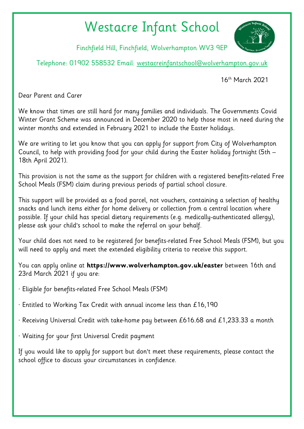## Westacre Infant School



Finchfield Hill, Finchfield, Wolverhampton WV3 9EP

Telephone: 01902 558532 Email: [westacreinfantschool@wolverhampton.gov.uk](mailto:westacreinfantschool@wolverhampton.gov.uk)

16th March 2021

Dear Parent and Carer

We know that times are still hard for many families and individuals. The Governments Covid Winter Grant Scheme was announced in December 2020 to help those most in need during the winter months and extended in February 2021 to include the Easter holidays.

We are writing to let you know that you can apply for support from City of Wolverhampton Council, to help with providing food for your child during the Easter holiday fortnight (5th – 18th April 2021).

This provision is not the same as the support for children with a registered benefits-related Free School Meals (FSM) claim during previous periods of partial school closure.

This support will be provided as a food parcel, not vouchers, containing a selection of healthy snacks and lunch items either for home delivery or collection from a central location where possible. If your child has special dietary requirements (e.g. medically-authenticated allergy), please ask your child's school to make the referral on your behalf.

Your child does not need to be registered for benefits-related Free School Meals (FSM), but you will need to apply and meet the extended eligibility criteria to receive this support.

You can apply online at **https://www.wolverhampton.gov.uk/easter** between 16th and 23rd March 2021 if you are:

- · Eligible for benefits-related Free School Meals (FSM)
- · Entitled to Working Tax Credit with annual income less than £16,190
- · Receiving Universal Credit with take-home pay between £616.68 and £1,233.33 a month
- · Waiting for your first Universal Credit payment

If you would like to apply for support but don't meet these requirements, please contact the school office to discuss your circumstances in confidence.